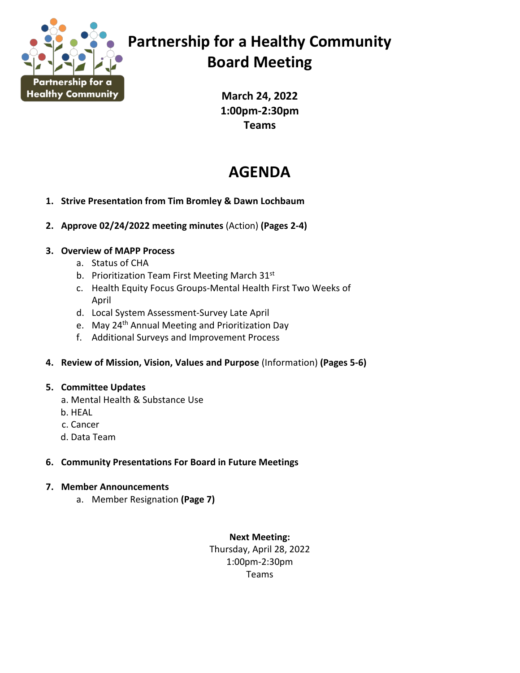

## **Partnership for a Healthy Community Board Meeting**

**March 24, 2022 1:00pm-2:30pm Teams**

## **AGENDA**

- **1. Strive Presentation from Tim Bromley & Dawn Lochbaum**
- **2. Approve 02/24/2022 meeting minutes** (Action) **(Pages 2-4)**

### **3. Overview of MAPP Process**

- a. Status of CHA
- b. Prioritization Team First Meeting March 31st
- c. Health Equity Focus Groups-Mental Health First Two Weeks of April
- d. Local System Assessment-Survey Late April
- e. May 24<sup>th</sup> Annual Meeting and Prioritization Day
- f. Additional Surveys and Improvement Process
- **4. Review of Mission, Vision, Values and Purpose** (Information) **(Pages 5-6)**

### **5. Committee Updates**

- a. Mental Health & Substance Use
- b. HEAL
- c. Cancer
- d. Data Team

### **6. Community Presentations For Board in Future Meetings**

### **7. Member Announcements**

a. Member Resignation **(Page 7)** 

**Next Meeting:** Thursday, April 28, 2022 1:00pm-2:30pm Teams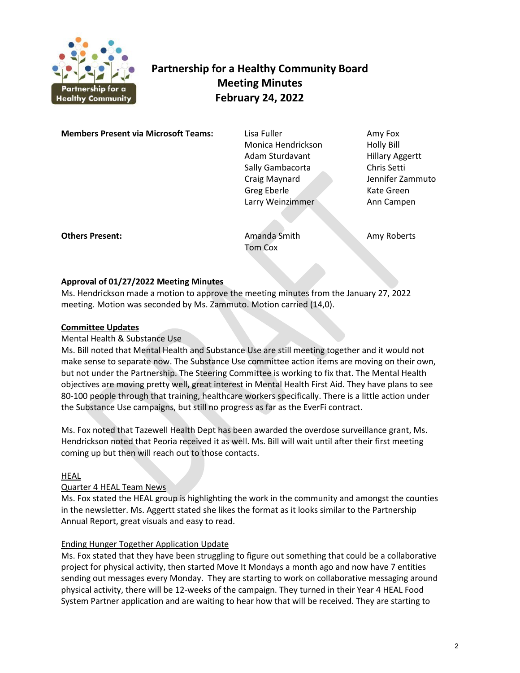

## **Partnership for a Healthy Community Board Meeting Minutes February 24, 2022**

**Members Present via Microsoft Teams:** Lisa Fuller **Amy Fox** Amy Fox

 Monica Hendrickson Holly Bill Adam Sturdavant Hillary Aggertt Sally Gambacorta Chris Setti Craig Maynard Jennifer Zammuto Greg Eberle Kate Green Larry Weinzimmer **Ann Campen** 

**Others Present: Amanda Smith Amy Roberts** Amy Roberts

Tom Cox

### **Approval of 01/27/2022 Meeting Minutes**

Ms. Hendrickson made a motion to approve the meeting minutes from the January 27, 2022 meeting. Motion was seconded by Ms. Zammuto. Motion carried (14,0).

#### **Committee Updates**

### Mental Health & Substance Use

Ms. Bill noted that Mental Health and Substance Use are still meeting together and it would not make sense to separate now. The Substance Use committee action items are moving on their own, but not under the Partnership. The Steering Committee is working to fix that. The Mental Health objectives are moving pretty well, great interest in Mental Health First Aid. They have plans to see 80-100 people through that training, healthcare workers specifically. There is a little action under the Substance Use campaigns, but still no progress as far as the EverFi contract.

Ms. Fox noted that Tazewell Health Dept has been awarded the overdose surveillance grant, Ms. Hendrickson noted that Peoria received it as well. Ms. Bill will wait until after their first meeting coming up but then will reach out to those contacts.

#### HEAL

#### Quarter 4 HEAL Team News

Ms. Fox stated the HEAL group is highlighting the work in the community and amongst the counties in the newsletter. Ms. Aggertt stated she likes the format as it looks similar to the Partnership Annual Report, great visuals and easy to read.

#### Ending Hunger Together Application Update

Ms. Fox stated that they have been struggling to figure out something that could be a collaborative project for physical activity, then started Move It Mondays a month ago and now have 7 entities sending out messages every Monday. They are starting to work on collaborative messaging around physical activity, there will be 12-weeks of the campaign. They turned in their Year 4 HEAL Food System Partner application and are waiting to hear how that will be received. They are starting to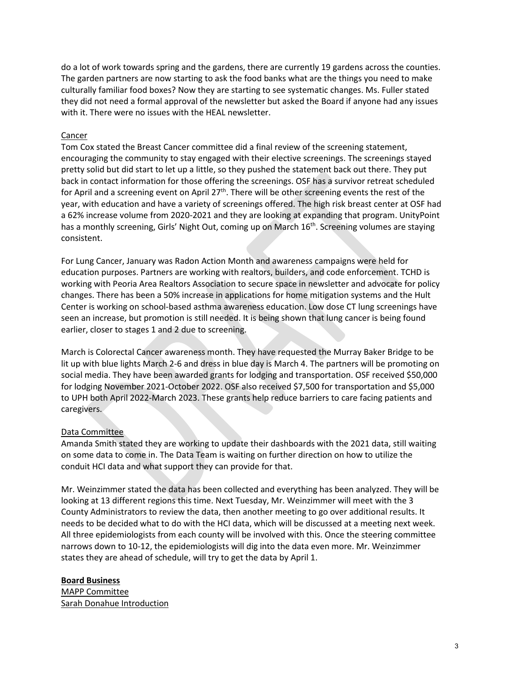do a lot of work towards spring and the gardens, there are currently 19 gardens across the counties. The garden partners are now starting to ask the food banks what are the things you need to make culturally familiar food boxes? Now they are starting to see systematic changes. Ms. Fuller stated they did not need a formal approval of the newsletter but asked the Board if anyone had any issues with it. There were no issues with the HEAL newsletter.

#### Cancer

Tom Cox stated the Breast Cancer committee did a final review of the screening statement, encouraging the community to stay engaged with their elective screenings. The screenings stayed pretty solid but did start to let up a little, so they pushed the statement back out there. They put back in contact information for those offering the screenings. OSF has a survivor retreat scheduled for April and a screening event on April  $27<sup>th</sup>$ . There will be other screening events the rest of the year, with education and have a variety of screenings offered. The high risk breast center at OSF had a 62% increase volume from 2020-2021 and they are looking at expanding that program. UnityPoint has a monthly screening, Girls' Night Out, coming up on March  $16<sup>th</sup>$ . Screening volumes are staying consistent.

For Lung Cancer, January was Radon Action Month and awareness campaigns were held for education purposes. Partners are working with realtors, builders, and code enforcement. TCHD is working with Peoria Area Realtors Association to secure space in newsletter and advocate for policy changes. There has been a 50% increase in applications for home mitigation systems and the Hult Center is working on school-based asthma awareness education. Low dose CT lung screenings have seen an increase, but promotion is still needed. It is being shown that lung cancer is being found earlier, closer to stages 1 and 2 due to screening.

March is Colorectal Cancer awareness month. They have requested the Murray Baker Bridge to be lit up with blue lights March 2-6 and dress in blue day is March 4. The partners will be promoting on social media. They have been awarded grants for lodging and transportation. OSF received \$50,000 for lodging November 2021-October 2022. OSF also received \$7,500 for transportation and \$5,000 to UPH both April 2022-March 2023. These grants help reduce barriers to care facing patients and caregivers.

#### Data Committee

Amanda Smith stated they are working to update their dashboards with the 2021 data, still waiting on some data to come in. The Data Team is waiting on further direction on how to utilize the conduit HCI data and what support they can provide for that.

Mr. Weinzimmer stated the data has been collected and everything has been analyzed. They will be looking at 13 different regions this time. Next Tuesday, Mr. Weinzimmer will meet with the 3 County Administrators to review the data, then another meeting to go over additional results. It needs to be decided what to do with the HCI data, which will be discussed at a meeting next week. All three epidemiologists from each county will be involved with this. Once the steering committee narrows down to 10-12, the epidemiologists will dig into the data even more. Mr. Weinzimmer states they are ahead of schedule, will try to get the data by April 1.

#### **Board Business**

MAPP Committee Sarah Donahue Introduction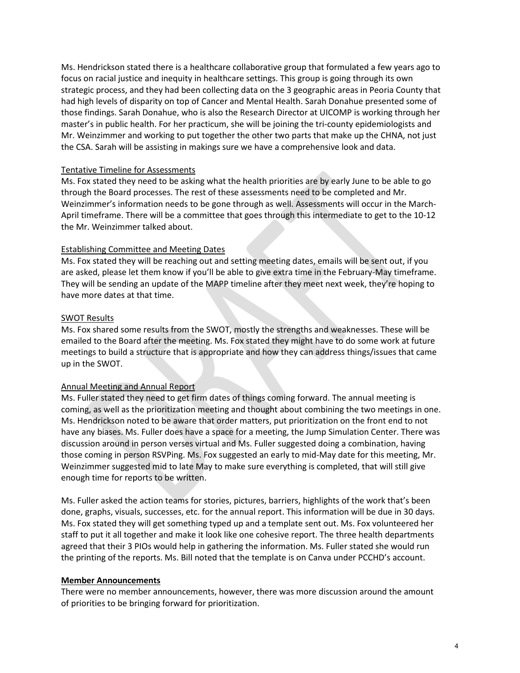Ms. Hendrickson stated there is a healthcare collaborative group that formulated a few years ago to focus on racial justice and inequity in healthcare settings. This group is going through its own strategic process, and they had been collecting data on the 3 geographic areas in Peoria County that had high levels of disparity on top of Cancer and Mental Health. Sarah Donahue presented some of those findings. Sarah Donahue, who is also the Research Director at UICOMP is working through her master's in public health. For her practicum, she will be joining the tri-county epidemiologists and Mr. Weinzimmer and working to put together the other two parts that make up the CHNA, not just the CSA. Sarah will be assisting in makings sure we have a comprehensive look and data.

#### Tentative Timeline for Assessments

Ms. Fox stated they need to be asking what the health priorities are by early June to be able to go through the Board processes. The rest of these assessments need to be completed and Mr. Weinzimmer's information needs to be gone through as well. Assessments will occur in the March-April timeframe. There will be a committee that goes through this intermediate to get to the 10-12 the Mr. Weinzimmer talked about.

#### Establishing Committee and Meeting Dates

Ms. Fox stated they will be reaching out and setting meeting dates, emails will be sent out, if you are asked, please let them know if you'll be able to give extra time in the February-May timeframe. They will be sending an update of the MAPP timeline after they meet next week, they're hoping to have more dates at that time.

#### SWOT Results

Ms. Fox shared some results from the SWOT, mostly the strengths and weaknesses. These will be emailed to the Board after the meeting. Ms. Fox stated they might have to do some work at future meetings to build a structure that is appropriate and how they can address things/issues that came up in the SWOT.

#### Annual Meeting and Annual Report

Ms. Fuller stated they need to get firm dates of things coming forward. The annual meeting is coming, as well as the prioritization meeting and thought about combining the two meetings in one. Ms. Hendrickson noted to be aware that order matters, put prioritization on the front end to not have any biases. Ms. Fuller does have a space for a meeting, the Jump Simulation Center. There was discussion around in person verses virtual and Ms. Fuller suggested doing a combination, having those coming in person RSVPing. Ms. Fox suggested an early to mid-May date for this meeting, Mr. Weinzimmer suggested mid to late May to make sure everything is completed, that will still give enough time for reports to be written.

Ms. Fuller asked the action teams for stories, pictures, barriers, highlights of the work that's been done, graphs, visuals, successes, etc. for the annual report. This information will be due in 30 days. Ms. Fox stated they will get something typed up and a template sent out. Ms. Fox volunteered her staff to put it all together and make it look like one cohesive report. The three health departments agreed that their 3 PIOs would help in gathering the information. Ms. Fuller stated she would run the printing of the reports. Ms. Bill noted that the template is on Canva under PCCHD's account.

#### **Member Announcements**

There were no member announcements, however, there was more discussion around the amount of priorities to be bringing forward for prioritization.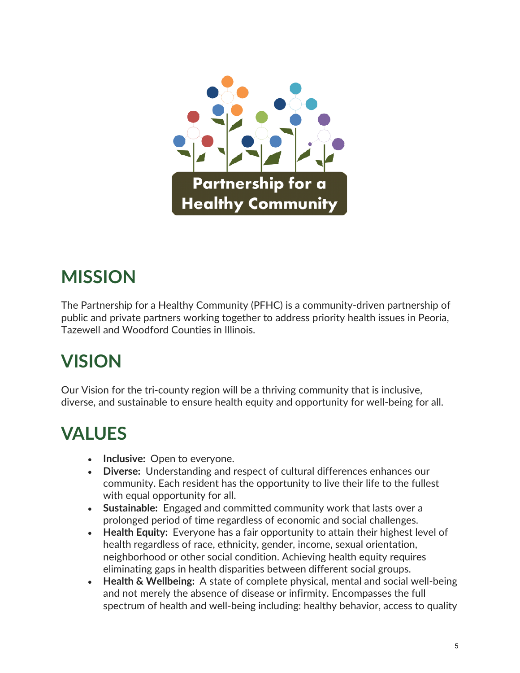

# **MISSION**

The Partnership for a Healthy Community (PFHC) is a community-driven partnership of public and private partners working together to address priority health issues in Peoria, Tazewell and Woodford Counties in Illinois.

## **VISION**

Our Vision for the tri-county region will be a thriving community that is inclusive, diverse, and sustainable to ensure health equity and opportunity for well-being for all.

# **VALUES**

- **Inclusive:** Open to everyone.
- **Diverse:** Understanding and respect of cultural differences enhances our community. Each resident has the opportunity to live their life to the fullest with equal opportunity for all.
- **Sustainable:** Engaged and committed community work that lasts over a prolonged period of time regardless of economic and social challenges.
- **Health Equity:** Everyone has a fair opportunity to attain their highest level of health regardless of race, ethnicity, gender, income, sexual orientation, neighborhood or other social condition. Achieving health equity requires eliminating gaps in health disparities between different social groups.
- **Health & Wellbeing:** A state of complete physical, mental and social well-being and not merely the absence of disease or infirmity. Encompasses the full spectrum of health and well-being including: healthy behavior, access to quality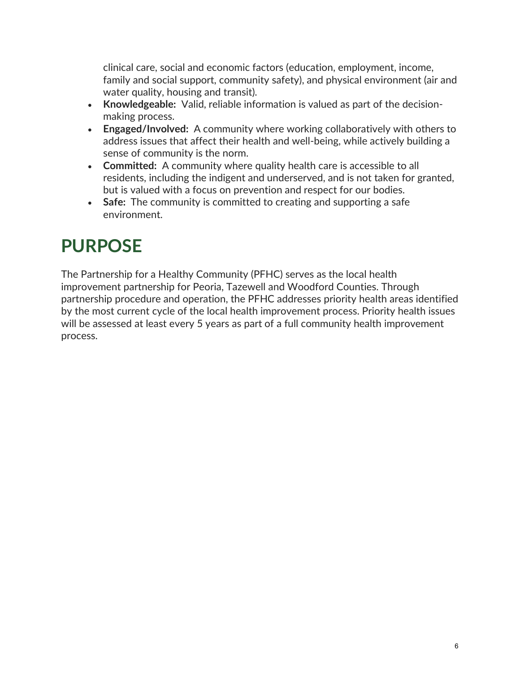clinical care, social and economic factors (education, employment, income, family and social support, community safety), and physical environment (air and water quality, housing and transit).

- **Knowledgeable:** Valid, reliable information is valued as part of the decisionmaking process.
- **Engaged/Involved:** A community where working collaboratively with others to address issues that affect their health and well-being, while actively building a sense of community is the norm.
- **Committed:** A community where quality health care is accessible to all residents, including the indigent and underserved, and is not taken for granted, but is valued with a focus on prevention and respect for our bodies.
- **Safe:** The community is committed to creating and supporting a safe environment.

## **PURPOSE**

The Partnership for a Healthy Community (PFHC) serves as the local health improvement partnership for Peoria, Tazewell and Woodford Counties. Through partnership procedure and operation, the PFHC addresses priority health areas identified by the most current cycle of the local health improvement process. Priority health issues will be assessed at least every 5 years as part of a full community health improvement process.